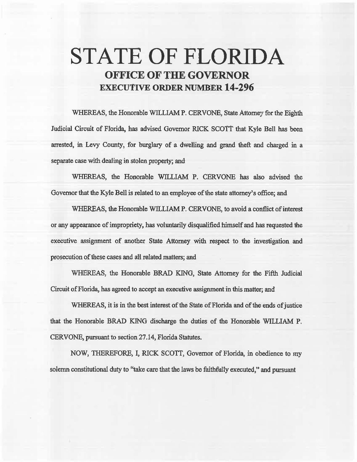## STATE OF FLORIDA OFFICE OF THE GOVERNOR **EXECUTIVE ORDER NUMBER 14-296**

WHEREAS, the Honorable WILLIAM P. CERVONE, State Attorney for the Eighth Judicial Circuit of Florida, has advised Governor RICK SCOTT that Kyle Bell has been arrested. in Levy County, for burglary of a dweNing and grand theft and charged in a separate case with dealing in stolen property; and

WHEREAS, the Honorable WILLIAM P. CERVONE has also advised the Governor that the Kyle Bell is related to an employee of the state attorney's office; and

WHEREAS, the Honorable WILLIAM P. CERVONE, to avoid a conflict of interest or any appearance of impropriety, has voluntarily disqualified himself and has requested the executive assignment of another State Attorney with respect to the investigation and prosecution of these cases and all related matters; and

WHEREAS, the Honorable BRAD KING, State Attorney for the Fifth Judicial Circuit of Florida, has agreed to accept an executive assignment in this matter; and

WHEREAS, it is in the best interest of the State of Florida and of the ends of justice that the Honorable BRAD KING discharge the duties of the Honorable WILLIAM P. CERVONE, pursuant to section 27.14, Florida Statutes.

NOW, THEREFORE, I, RICK SCOTT, Governor of Florida, in obedience to my solemn constitutional duty to "take care that the laws be faithfully executed," and pursuant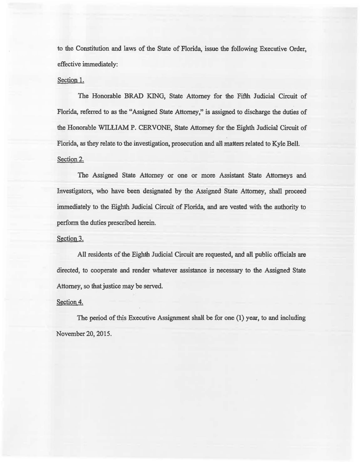to the Constitution and laws of the State of Florida, issue the following Executive Order, effective immediately:

## Section 1.

The Honorable BRAD KING, State Attorney for the Fifth Judicial Circuit of Florida. referred to *as* the "Assigned State Attorney," is assigned to discharge the duties of the Honorable WILLIAM P. CERVONE, State Attorney for the Eighth Judicial Circuit of Florida, as they relate to the investigation, prosecution and all matters related to Kyle Bell. Section 2.

The Assigned State Attorney or one or more Assistant State Attomeys and Investigators, who have been designated by the Assigned State Attorney, shall proceed immediately to the Eighth Judicial Circuit of Florida, and are vested with the authority to perfonn the duties prescribed herein.

## Section 3.

AU residents of the Eighth Judicial Circuit are requested, and all public officials are directed, to cooperate and render whatever assistance is necessary to the Assigned State Attorney, so that justice may be served.

## Section 4.

The period of this Executive Assignment shall be for one  $(1)$  year, to and including November 20, 2015.